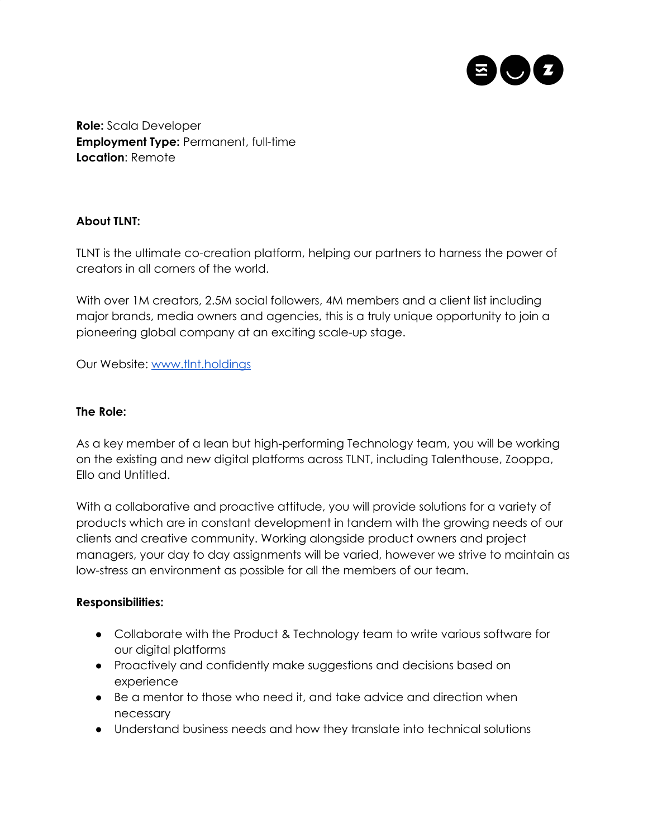

**Role:** Scala Developer **Employment Type:** Permanent, full-time **Location**: Remote

# **About TLNT:**

TLNT is the ultimate co-creation platform, helping our partners to harness the power of creators in all corners of the world.

With over 1M creators, 2.5M social followers, 4M members and a client list including major brands, media owners and agencies, this is a truly unique opportunity to join a pioneering global company at an exciting scale-up stage.

Our Website: [www.tlnt.holdings](http://www.tlnt.holdings/)

### **The Role:**

As a key member of a lean but high-performing Technology team, you will be working on the existing and new digital platforms across TLNT, including Talenthouse, Zooppa, Ello and Untitled.

With a collaborative and proactive attitude, you will provide solutions for a variety of products which are in constant development in tandem with the growing needs of our clients and creative community. Working alongside product owners and project managers, your day to day assignments will be varied, however we strive to maintain as low-stress an environment as possible for all the members of our team.

### **Responsibilities:**

- Collaborate with the Product & Technology team to write various software for our digital platforms
- Proactively and confidently make suggestions and decisions based on experience
- Be a mentor to those who need it, and take advice and direction when necessary
- Understand business needs and how they translate into technical solutions